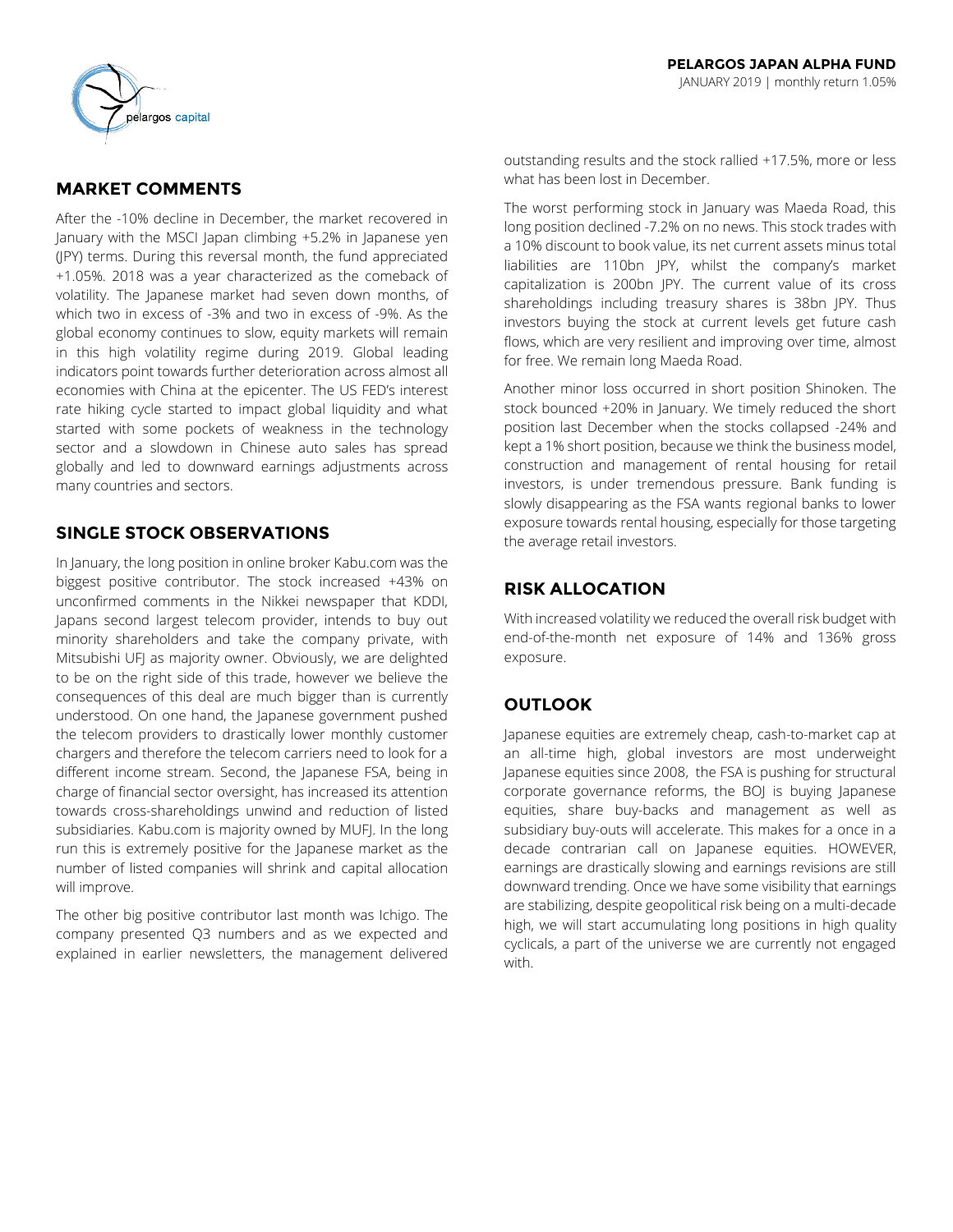# **MARKET COMMENTS**

After the -10% decline in December, the market recovered in January with the MSCI Japan climbing +5.2% in Japanese yen (JPY) terms. During this reversal month, the fund appreciated +1.05%. 2018 was a year characterized as the comeback of volatility. The Japanese market had seven down months, of which two in excess of -3% and two in excess of -9%. As the global economy continues to slow, equity markets will remain in this high volatility regime during 2019. Global leading indicators point towards further deterioration across almost all economies with China at the epicenter. The US FED's interest rate hiking cycle started to impact global liquidity and what started with some pockets of weakness in the technology sector and a slowdown in Chinese auto sales has spread globally and led to downward earnings adjustments across many countries and sectors.

## **SINGLE STOCK OBSERVATIONS**

In January, the long position in online broker Kabu.com was the biggest positive contributor. The stock increased +43% on unconfirmed comments in the Nikkei newspaper that KDDI, Japans second largest telecom provider, intends to buy out minority shareholders and take the company private, with Mitsubishi UFJ as majority owner. Obviously, we are delighted to be on the right side of this trade, however we believe the consequences of this deal are much bigger than is currently understood. On one hand, the Japanese government pushed the telecom providers to drastically lower monthly customer chargers and therefore the telecom carriers need to look for a different income stream. Second, the Japanese FSA, being in charge of financial sector oversight, has increased its attention towards cross-shareholdings unwind and reduction of listed subsidiaries. Kabu.com is majority owned by MUFJ. In the long run this is extremely positive for the Japanese market as the number of listed companies will shrink and capital allocation will improve.

The other big positive contributor last month was Ichigo. The company presented Q3 numbers and as we expected and explained in earlier newsletters, the management delivered

outstanding results and the stock rallied +17.5%, more or less what has been lost in December.

The worst performing stock in January was Maeda Road, this long position declined -7.2% on no news. This stock trades with a 10% discount to book value, its net current assets minus total liabilities are 110bn JPY, whilst the company's market capitalization is 200bn JPY. The current value of its cross shareholdings including treasury shares is 38bn JPY. Thus investors buying the stock at current levels get future cash flows, which are very resilient and improving over time, almost for free. We remain long Maeda Road.

Another minor loss occurred in short position Shinoken. The stock bounced +20% in January. We timely reduced the short position last December when the stocks collapsed -24% and kept a 1% short position, because we think the business model, construction and management of rental housing for retail investors, is under tremendous pressure. Bank funding is slowly disappearing as the FSA wants regional banks to lower exposure towards rental housing, especially for those targeting the average retail investors.

# **RISK ALLOCATION**

With increased volatility we reduced the overall risk budget with end-of-the-month net exposure of 14% and 136% gross exposure.

# **OUTLOOK**

Japanese equities are extremely cheap, cash-to-market cap at an all-time high, global investors are most underweight Japanese equities since 2008, the FSA is pushing for structural corporate governance reforms, the BOJ is buying Japanese equities, share buy-backs and management as well as subsidiary buy-outs will accelerate. This makes for a once in a decade contrarian call on Japanese equities. HOWEVER, earnings are drastically slowing and earnings revisions are still downward trending. Once we have some visibility that earnings are stabilizing, despite geopolitical risk being on a multi-decade high, we will start accumulating long positions in high quality cyclicals, a part of the universe we are currently not engaged with.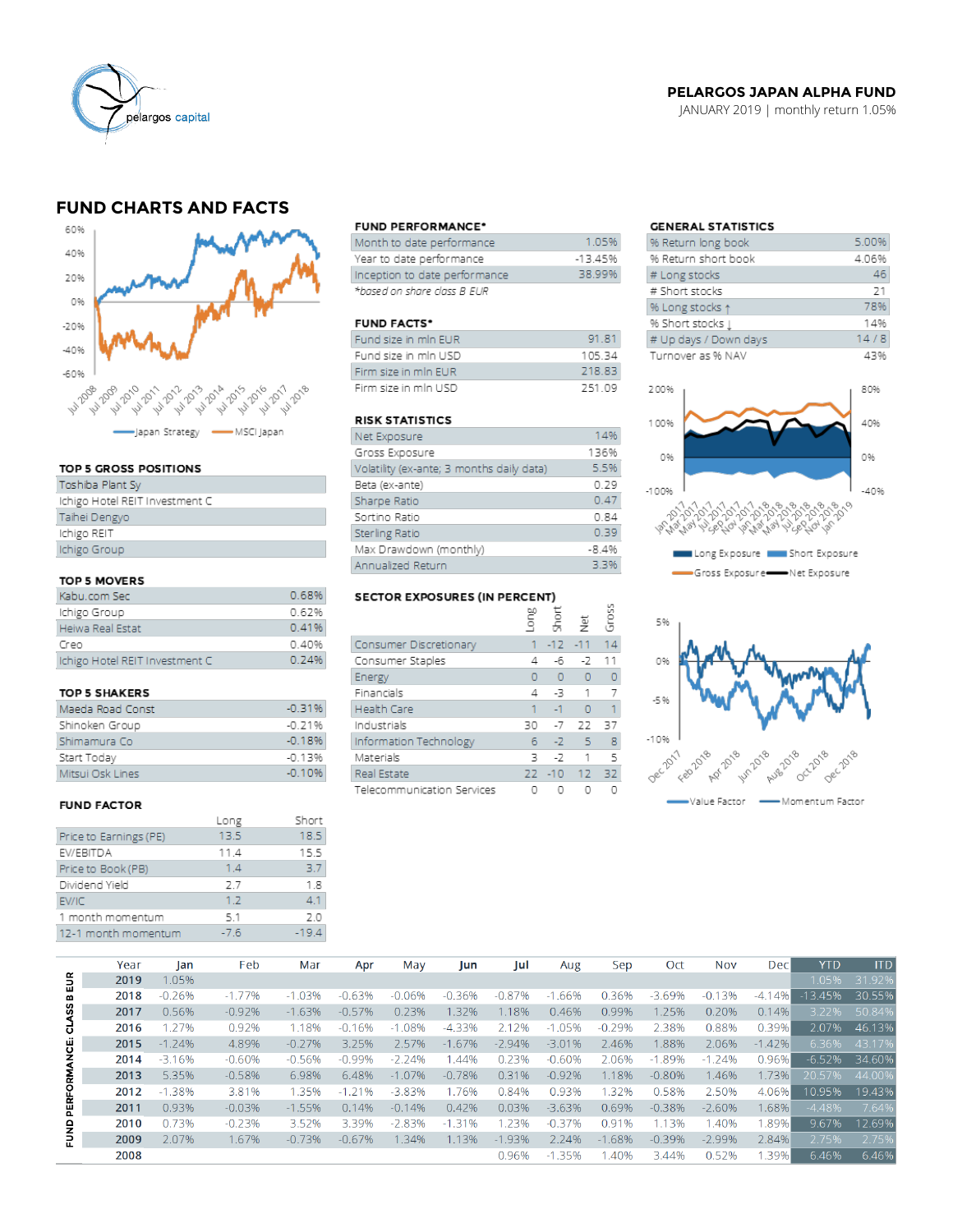

## **PELARGOS JAPAN ALPHA FUND**

JANUARY 2019 | monthly return 1.05%

## **FUND CHARTS AND FACTS**



#### TOP 5 GROSS POSITIONS

| Toshiba Plant Sy               |
|--------------------------------|
| Ichigo Hotel REIT Investment C |
| Taihei Dengyo                  |
| Ichigo REIT                    |
| Ichigo Group                   |
|                                |

### TOP 5 MOVERS

| Kabu.com Sec                   | 0.68% |
|--------------------------------|-------|
| Ichigo Group                   | 0.62% |
| Heiwa Real Estat               | 0.41% |
| Creo                           | 0.40% |
| Ichigo Hotel REIT Investment C | 0.74% |

#### TOP 5 SHAKERS

| Maeda Road Const | $-0.31%$ |
|------------------|----------|
| Shinoken Group   | $-0.21%$ |
| Shimamura Co     | $-0.18%$ |
| Start Today      | $-0.13%$ |
| Mitsui Osk Lines | $-0.10%$ |

#### **FUND FACTOR**

|                        | Long   | Short   |
|------------------------|--------|---------|
| Price to Earnings (PE) | 13.5   | 18.5    |
| EV/EBITDA              | 11.4   | 15.5    |
| Price to Book (PB)     | 1.4    | 37      |
| Dividend Yield         | 2.7    | 1.8     |
| EV/IC                  | 1.2    | 41      |
| 1 month momentum       | 5.1    | 20      |
| 12-1 month momentum    | $-7.6$ | $-19.4$ |

#### **FUND PERFORMANCE\***

| Month to date performance     | 105%     |
|-------------------------------|----------|
| Year to date performance      | $-1345%$ |
| Inception to date performance | 38.99%   |
| *based on share class B EUR   |          |

#### **FUND FACTS\***

| Fund size in min EUR | 91 81  |
|----------------------|--------|
| Fund size in mln USD | 10534  |
| Firm size in min EUR | 218.83 |
| Firm size in min USD | 251.09 |

## **RISK STATISTICS**

| Net Exposure                              | 14%     |
|-------------------------------------------|---------|
| Gross Exposure                            | 136%    |
| Volatility (ex-ante; 3 months daily data) | 5.5%    |
| Beta (ex-ante)                            | 0.29    |
| Sharpe Ratio                              | 0.47    |
| Sortino Ratio                             | 0.84    |
| Sterling Ratio                            | 0.39    |
| Max Drawdown (monthly)                    | $-8.4%$ |
| Annualized Return                         | 3.3%    |

# SECTOR EXPOSURES (IN PERCENT)

|                            | guo | Short    | 흋              | Gross |
|----------------------------|-----|----------|----------------|-------|
| Consumer Discretionary     |     | $-12$    | $-11$          | 14    |
| Consumer Staples           | 4   | -6       | -2             | 11    |
| Energy                     | O   | $\Omega$ | $\overline{0}$ | 0     |
| Financials                 | 4   | -3       | 1              |       |
| <b>Health Care</b>         | 1   | $-1$     | $\Omega$       | 1     |
| Industrials                | 30  | $-7$     | 22             | 37    |
| Information Technology     | 6   | $-2$     | 5              | 8     |
| Materials                  | 3   | $-7$     | 1              | 5     |
| Real Estate                | 22  |          | $-10$ 12       | 32    |
| Telecommunication Services |     |          |                |       |

## **GENERAL STATISTICS**

| % Return long book     | 5.00% |
|------------------------|-------|
| % Return short book    | 4.06% |
| # Long stocks          | 46    |
| # Short stocks         | 21    |
| % Long stocks 1        | 78%   |
| % Short stocks $\perp$ | 14%   |
| # Up days / Down days  | 14/8  |
| Turnover as % NAV      | 43%   |
|                        |       |





|                     | Year | lan      | Feb      | Mar      | Apr      | May       | Jun      | Jul      | Aug      | Sep      | Oct      | <b>Nov</b> | Dec      | <b>YTD</b> | <b>ITD</b> |
|---------------------|------|----------|----------|----------|----------|-----------|----------|----------|----------|----------|----------|------------|----------|------------|------------|
| ã                   | 2019 | 1.05%    |          |          |          |           |          |          |          |          |          |            |          | 1.05%      | 31.92%     |
| m                   | 2018 | $-0.26%$ | $-1.77%$ | $-1.03%$ | $-0.63%$ | $-0.06%$  | $-0.36%$ | $-0.87%$ | $-1.66%$ | 0.36%    | $-3.69%$ | $-0.13%$   | $-4.14%$ | $-13.45%$  | 30.55%     |
| CLASS               | 2017 | 0.56%    | $-0.92%$ | $-1.63%$ | $-0.57%$ | 0.23%     | 1.32%    | 1.18%    | 0.46%    | 0.99%    | 1.25%    | 0.20%      | 0.14%    | 3.22%      | 50.84%     |
|                     | 2016 | 1.27%    | 0.92%    | 1.18%    | $-0.16%$ | $-1.08%$  | $-4.33%$ | 2.12%    | $-1.05%$ | $-0.29%$ | 2.38%    | 0.88%      | 0.39%    | 2.07%      | 46.13%     |
|                     | 2015 | $-1.24%$ | 4.89%    | $-0.27%$ | 3.25%    | 2.57%     | $-1.67%$ | $-2.94%$ | $-3.01%$ | 2.46%    | 1.88%    | 2.06%      | $-1.42%$ | 6.36%      | 43.17%     |
| <b>PERFORMANCE:</b> | 2014 | $-3.16%$ | $-0.60%$ | $-0.56%$ | $-0.99%$ | $-2.24%$  | 1.44%    | 0.23%    | $-0.60%$ | 2.06%    | $-1.89%$ | $-1.24%$   | 0.96%    | $-6.52%$   | 34.60%     |
|                     | 2013 | 5.35%    | $-0.58%$ | 6.98%    | 6.48%    | $-1.07\%$ | $-0.78%$ | 0.31%    | $-0.92%$ | 1.18%    | $-0.80%$ | 1.46%      | 1.73%    | 20.57%     | 44.00%     |
|                     | 2012 | $-1.38%$ | 3.81%    | 1.35%    | $-1.21%$ | $-3.83%$  | 1.76%    | 0.84%    | 0.93%    | 1.32%    | 0.58%    | 2.50%      | 4.06%    | 10.95%     | 19.43%     |
|                     | 2011 | 0.93%    | $-0.03%$ | $-1.55%$ | 0.14%    | $-0.14%$  | 0.42%    | 0.03%    | $-3.63%$ | 0.69%    | $-0.38%$ | $-2.60%$   | 1.68%    | $-4.48%$   | 7.64%      |
|                     | 2010 | 0.73%    | $-0.23%$ | 3.52%    | 3.39%    | $-2.83%$  | $-1.31%$ | 1.23%    | $-0.37%$ | 0.91%    | 1.13%    | 1.40%      | 1.89%    | 9.67%      | 12.69%     |
| EUND                | 2009 | 2.07%    | 1.67%    | $-0.73%$ | $-0.67%$ | 1.34%     | 1.13%    | $-1.93%$ | 2.24%    | $-1.68%$ | $-0.39%$ | $-2.99%$   | 2.84%    | 2.75%      | 2.75%      |
|                     | 2008 |          |          |          |          |           |          | 0.96%    | $-1.35%$ | 1.40%    | 3.44%    | 0.52%      | 1.39%    | 6.46%      | 6.46%      |